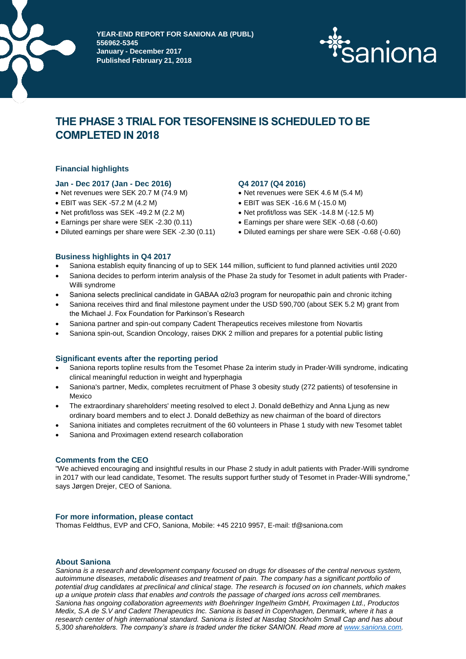

**DELÅRSPAPIER AVERE FÖR SANIONA AB (PUBL) 556962-5345 January - December 2017 Published February 21, 2018**



# **THE PHASE 3 TRIAL FOR TESOFENSINE IS SCHEDULED TO BE COMPLETED IN 2018**

# **Financial highlights**

# **Jan - Dec 2017 (Jan - Dec 2016) Q4 2017 (Q4 2016)**

- Net revenues were SEK 20.7 M (74.9 M) Net revenues were SEK 4.6 M (5.4 M)
- EBIT was SEK -57.2 M (4.2 M)
- Net profit/loss was SEK -49.2 M (2.2 M)
- Earnings per share were SEK -2.30 (0.11) Earnings per share were SEK -0.68 (-0.60)
- 

- 
- EBIT was SEK -16.6 M (-15.0 M)
- Net profit/loss was SEK -14.8 M (-12.5 M)
- 
- Diluted earnings per share were SEK -2.30 (0.11) Diluted earnings per share were SEK -0.68 (-0.60)

# **Business highlights in Q4 2017**

- Saniona establish equity financing of up to SEK 144 million, sufficient to fund planned activities until 2020
- Saniona decides to perform interim analysis of the Phase 2a study for Tesomet in adult patients with Prader-Willi syndrome
- Saniona selects preclinical candidate in GABAA α2/α3 program for neuropathic pain and chronic itching
- Saniona receives third and final milestone payment under the USD 590,700 (about SEK 5.2 M) grant from the Michael J. Fox Foundation for Parkinson's Research
- Saniona partner and spin-out company Cadent Therapeutics receives milestone from Novartis
- Saniona spin-out, Scandion Oncology, raises DKK 2 million and prepares for a potential public listing

# **Significant events after the reporting period**

- Saniona reports topline results from the Tesomet Phase 2a interim study in Prader-Willi syndrome, indicating clinical meaningful reduction in weight and hyperphagia
- Saniona's partner, Medix, completes recruitment of Phase 3 obesity study (272 patients) of tesofensine in Mexico
- The extraordinary shareholders' meeting resolved to elect J. Donald deBethizy and Anna Ljung as new ordinary board members and to elect J. Donald deBethizy as new chairman of the board of directors
- Saniona initiates and completes recruitment of the 60 volunteers in Phase 1 study with new Tesomet tablet
- Saniona and Proximagen extend research collaboration

# **Comments from the CEO**

"We achieved encouraging and insightful results in our Phase 2 study in adult patients with Prader-Willi syndrome in 2017 with our lead candidate, Tesomet. The results support further study of Tesomet in Prader-Willi syndrome," says Jørgen Drejer, CEO of Saniona.

# **For more information, please contact**

Thomas Feldthus, EVP and CFO, Saniona, Mobile: +45 2210 9957, E-mail: tf@saniona.com

# **About Saniona**

*Saniona is a research and development company focused on drugs for diseases of the central nervous system, autoimmune diseases, metabolic diseases and treatment of pain. The company has a significant portfolio of potential drug candidates at preclinical and clinical stage. The research is focused on ion channels, which makes up a unique protein class that enables and controls the passage of charged ions across cell membranes. Saniona has ongoing collaboration agreements with Boehringer Ingelheim GmbH, Proximagen Ltd., Productos Medix, S.A de S.V and Cadent Therapeutics Inc. Saniona is based in Copenhagen, Denmark, where it has a research center of high international standard. Saniona is listed at Nasdaq Stockholm Small Cap and has about 5,300 shareholders. The company's share is traded under the ticker SANION. Read more at [www.saniona.com.](http://www.saniona.com/)*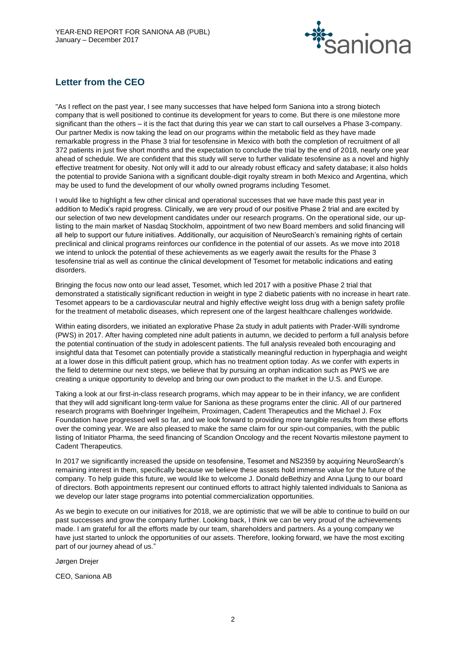

# **Letter from the CEO**

"As I reflect on the past year, I see many successes that have helped form Saniona into a strong biotech company that is well positioned to continue its development for years to come. But there is one milestone more significant than the others – it is the fact that during this year we can start to call ourselves a Phase 3-company. Our partner Medix is now taking the lead on our programs within the metabolic field as they have made remarkable progress in the Phase 3 trial for tesofensine in Mexico with both the completion of recruitment of all 372 patients in just five short months and the expectation to conclude the trial by the end of 2018, nearly one year ahead of schedule. We are confident that this study will serve to further validate tesofensine as a novel and highly effective treatment for obesity. Not only will it add to our already robust efficacy and safety database; it also holds the potential to provide Saniona with a significant double-digit royalty stream in both Mexico and Argentina, which may be used to fund the development of our wholly owned programs including Tesomet.

I would like to highlight a few other clinical and operational successes that we have made this past year in addition to Medix's rapid progress. Clinically, we are very proud of our positive Phase 2 trial and are excited by our selection of two new development candidates under our research programs. On the operational side, our uplisting to the main market of Nasdaq Stockholm, appointment of two new Board members and solid financing will all help to support our future initiatives. Additionally, our acquisition of NeuroSearch's remaining rights of certain preclinical and clinical programs reinforces our confidence in the potential of our assets. As we move into 2018 we intend to unlock the potential of these achievements as we eagerly await the results for the Phase 3 tesofensine trial as well as continue the clinical development of Tesomet for metabolic indications and eating disorders.

Bringing the focus now onto our lead asset, Tesomet, which led 2017 with a positive Phase 2 trial that demonstrated a statistically significant reduction in weight in type 2 diabetic patients with no increase in heart rate. Tesomet appears to be a cardiovascular neutral and highly effective weight loss drug with a benign safety profile for the treatment of metabolic diseases, which represent one of the largest healthcare challenges worldwide.

Within eating disorders, we initiated an explorative Phase 2a study in adult patients with Prader-Willi syndrome (PWS) in 2017. After having completed nine adult patients in autumn, we decided to perform a full analysis before the potential continuation of the study in adolescent patients. The full analysis revealed both encouraging and insightful data that Tesomet can potentially provide a statistically meaningful reduction in hyperphagia and weight at a lower dose in this difficult patient group, which has no treatment option today. As we confer with experts in the field to determine our next steps, we believe that by pursuing an orphan indication such as PWS we are creating a unique opportunity to develop and bring our own product to the market in the U.S. and Europe.

Taking a look at our first-in-class research programs, which may appear to be in their infancy, we are confident that they will add significant long-term value for Saniona as these programs enter the clinic. All of our partnered research programs with Boehringer Ingelheim, Proximagen, Cadent Therapeutics and the Michael J. Fox Foundation have progressed well so far, and we look forward to providing more tangible results from these efforts over the coming year. We are also pleased to make the same claim for our spin-out companies, with the public listing of Initiator Pharma, the seed financing of Scandion Oncology and the recent Novartis milestone payment to Cadent Therapeutics.

In 2017 we significantly increased the upside on tesofensine, Tesomet and NS2359 by acquiring NeuroSearch's remaining interest in them, specifically because we believe these assets hold immense value for the future of the company. To help guide this future, we would like to welcome J. Donald deBethizy and Anna Ljung to our board of directors. Both appointments represent our continued efforts to attract highly talented individuals to Saniona as we develop our later stage programs into potential commercialization opportunities.

As we begin to execute on our initiatives for 2018, we are optimistic that we will be able to continue to build on our past successes and grow the company further. Looking back, I think we can be very proud of the achievements made. I am grateful for all the efforts made by our team, shareholders and partners. As a young company we have just started to unlock the opportunities of our assets. Therefore, looking forward, we have the most exciting part of our journey ahead of us."

Jørgen Drejer

CEO, Saniona AB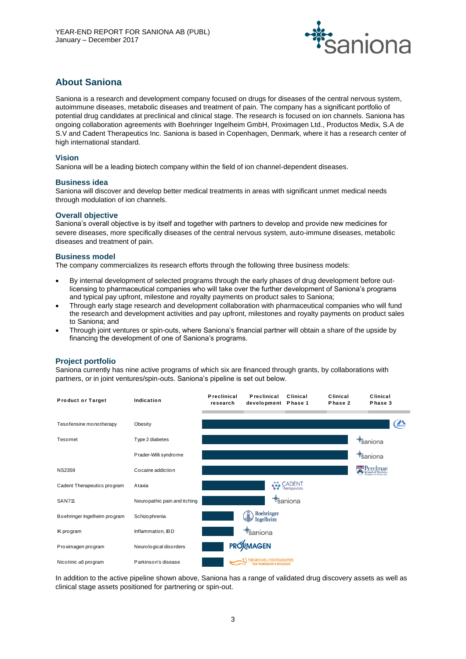

# **About Saniona**

Saniona is a research and development company focused on drugs for diseases of the central nervous system, autoimmune diseases, metabolic diseases and treatment of pain. The company has a significant portfolio of potential drug candidates at preclinical and clinical stage. The research is focused on ion channels. Saniona has ongoing collaboration agreements with Boehringer Ingelheim GmbH, Proximagen Ltd., Productos Medix, S.A de S.V and Cadent Therapeutics Inc. Saniona is based in Copenhagen, Denmark, where it has a research center of high international standard.

# **Vision**

Saniona will be a leading biotech company within the field of ion channel-dependent diseases.

#### **Business idea**

Saniona will discover and develop better medical treatments in areas with significant unmet medical needs through modulation of ion channels.

#### **Overall objective**

Saniona's overall objective is by itself and together with partners to develop and provide new medicines for severe diseases, more specifically diseases of the central nervous system, auto-immune diseases, metabolic diseases and treatment of pain.

# **Business model**

The company commercializes its research efforts through the following three business models:

- By internal development of selected programs through the early phases of drug development before outlicensing to pharmaceutical companies who will take over the further development of Saniona's programs and typical pay upfront, milestone and royalty payments on product sales to Saniona;
- Through early stage research and development collaboration with pharmaceutical companies who will fund the research and development activities and pay upfront, milestones and royalty payments on product sales to Saniona; and
- Through joint ventures or spin-outs, where Saniona's financial partner will obtain a share of the upside by financing the development of one of Saniona's programs.

# **Project portfolio**

Saniona currently has nine active programs of which six are financed through grants, by collaborations with



In addition to the active pipeline shown above, Saniona has a range of validated drug discovery assets as well as clinical stage assets positioned for partnering or spin-out.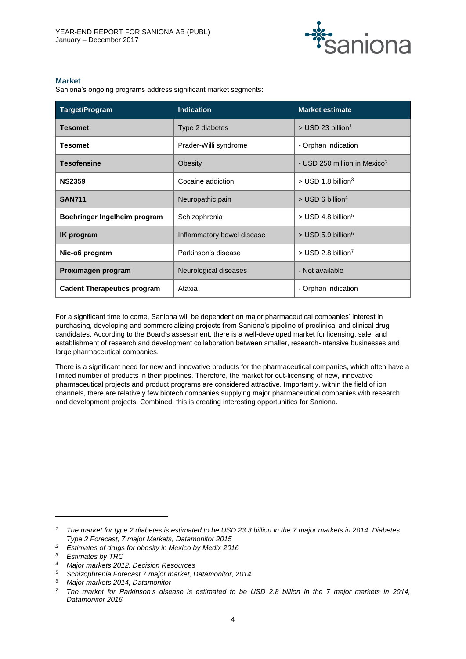

# **Market**

Saniona's ongoing programs address significant market segments:

| <b>Target/Program</b>              | <b>Indication</b>          | <b>Market estimate</b>                   |  |
|------------------------------------|----------------------------|------------------------------------------|--|
| <b>Tesomet</b>                     | Type 2 diabetes            | $>$ USD 23 billion <sup>1</sup>          |  |
| <b>Tesomet</b>                     | Prader-Willi syndrome      | - Orphan indication                      |  |
| <b>Tesofensine</b>                 | Obesity                    | - USD 250 million in Mexico <sup>2</sup> |  |
| <b>NS2359</b>                      | Cocaine addiction          | $>$ USD 1.8 billion <sup>3</sup>         |  |
| <b>SAN711</b>                      | Neuropathic pain           | $>$ USD 6 billion <sup>4</sup>           |  |
| Boehringer Ingelheim program       | Schizophrenia              |                                          |  |
| <b>IK</b> program                  | Inflammatory bowel disease |                                          |  |
| $Nic-a6$ program                   | Parkinson's disease        | $>$ USD 2.8 billion <sup>7</sup>         |  |
| Proximagen program                 | Neurological diseases      | - Not available                          |  |
| <b>Cadent Therapeutics program</b> | Ataxia                     | - Orphan indication                      |  |

For a significant time to come, Saniona will be dependent on major pharmaceutical companies' interest in purchasing, developing and commercializing projects from Saniona's pipeline of preclinical and clinical drug candidates. According to the Board's assessment, there is a well-developed market for licensing, sale, and establishment of research and development collaboration between smaller, research-intensive businesses and large pharmaceutical companies.

There is a significant need for new and innovative products for the pharmaceutical companies, which often have a limited number of products in their pipelines. Therefore, the market for out-licensing of new, innovative pharmaceutical projects and product programs are considered attractive. Importantly, within the field of ion channels, there are relatively few biotech companies supplying major pharmaceutical companies with research and development projects. Combined, this is creating interesting opportunities for Saniona.

 $\overline{a}$ 

*<sup>1</sup> The market for type 2 diabetes is estimated to be USD 23.3 billion in the 7 major markets in 2014. Diabetes Type 2 Forecast, 7 major Markets, Datamonitor 2015*

*<sup>2</sup> Estimates of drugs for obesity in Mexico by Medix 2016*

*<sup>3</sup> Estimates by TRC*

*<sup>4</sup> Major markets 2012, Decision Resources*

*<sup>5</sup> Schizophrenia Forecast 7 major market, Datamonitor, 2014*

*<sup>6</sup> Major markets 2014, Datamonitor*

*<sup>7</sup> The market for Parkinson's disease is estimated to be USD 2.8 billion in the 7 major markets in 2014, Datamonitor 2016*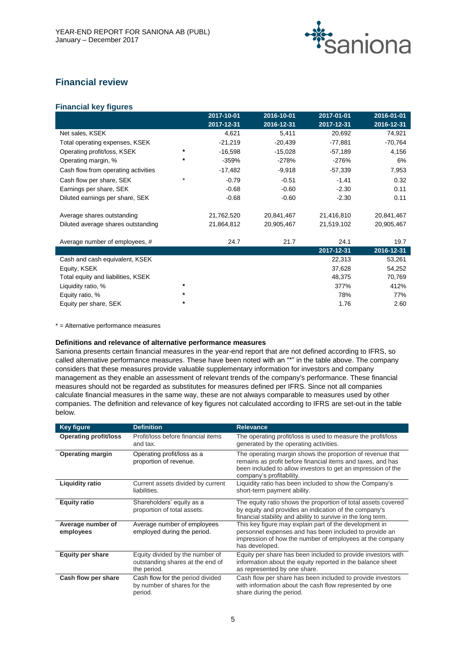

# **Financial review**

# **Financial key figures**

|                                     |         | 2017-10-01 | 2016-10-01 | 2017-01-01 | 2016-01-01 |
|-------------------------------------|---------|------------|------------|------------|------------|
|                                     |         | 2017-12-31 | 2016-12-31 | 2017-12-31 | 2016-12-31 |
| Net sales, KSEK                     |         | 4,621      | 5,411      | 20,692     | 74,921     |
| Total operating expenses, KSEK      |         | $-21,219$  | $-20,439$  | -77,881    | $-70,764$  |
| Operating profit/loss, KSEK         | *       | $-16,598$  | $-15,028$  | $-57,189$  | 4,156      |
| Operating margin, %                 | *       | -359%      | $-278%$    | -276%      | 6%         |
| Cash flow from operating activities |         | $-17,482$  | $-9,918$   | $-57,339$  | 7,953      |
| Cash flow per share, SEK            | *       | $-0.79$    | $-0.51$    | $-1.41$    | 0.32       |
| Earnings per share, SEK             |         | $-0.68$    | $-0.60$    | $-2.30$    | 0.11       |
| Diluted earnings per share, SEK     |         | $-0.68$    | $-0.60$    | $-2.30$    | 0.11       |
| Average shares outstanding          |         | 21,762,520 | 20,841,467 | 21,416,810 | 20,841,467 |
| Diluted average shares outstanding  |         | 21,864,812 | 20,905,467 | 21,519,102 | 20,905,467 |
| Average number of employees, #      |         | 24.7       | 21.7       | 24.1       | 19.7       |
|                                     |         |            |            | 2017-12-31 | 2016-12-31 |
| Cash and cash equivalent, KSEK      |         |            |            | 22,313     | 53,261     |
| Equity, KSEK                        |         |            |            | 37,628     | 54,252     |
| Total equity and liabilities, KSEK  |         |            |            | 48,375     | 70,769     |
| Liquidity ratio, %                  | *       |            |            | 377%       | 412%       |
| Equity ratio, %                     | $\star$ |            |            | 78%        | 77%        |
| Equity per share, SEK               | *       |            |            | 1.76       | 2.60       |

\* = Alternative performance measures

# **Definitions and relevance of alternative performance measures**

Saniona presents certain financial measures in the year-end report that are not defined according to IFRS, so called alternative performance measures. These have been noted with an "\*" in the table above. The company considers that these measures provide valuable supplementary information for investors and company management as they enable an assessment of relevant trends of the company's performance. These financial measures should not be regarded as substitutes for measures defined per IFRS. Since not all companies calculate financial measures in the same way, these are not always comparable to measures used by other companies. The definition and relevance of key figures not calculated according to IFRS are set-out in the table below.

| <b>Key figure</b>              | <b>Definition</b>                                                                  | <b>Relevance</b>                                                                                                                                                                                                     |
|--------------------------------|------------------------------------------------------------------------------------|----------------------------------------------------------------------------------------------------------------------------------------------------------------------------------------------------------------------|
| <b>Operating profit/loss</b>   | Profit/loss before financial items<br>and tax.                                     | The operating profit/loss is used to measure the profit/loss<br>generated by the operating activities.                                                                                                               |
| <b>Operating margin</b>        | Operating profit/loss as a<br>proportion of revenue.                               | The operating margin shows the proportion of revenue that<br>remains as profit before financial items and taxes, and has<br>been included to allow investors to get an impression of the<br>company's profitability. |
| <b>Liquidity ratio</b>         | Current assets divided by current<br>liabilities.                                  | Liquidity ratio has been included to show the Company's<br>short-term payment ability.                                                                                                                               |
| <b>Equity ratio</b>            | Shareholders' equity as a<br>proportion of total assets.                           | The equity ratio shows the proportion of total assets covered<br>by equity and provides an indication of the company's<br>financial stability and ability to survive in the long term.                               |
| Average number of<br>employees | Average number of employees<br>employed during the period.                         | This key figure may explain part of the development in<br>personnel expenses and has been included to provide an<br>impression of how the number of employees at the company<br>has developed.                       |
| <b>Equity per share</b>        | Equity divided by the number of<br>outstanding shares at the end of<br>the period. | Equity per share has been included to provide investors with<br>information about the equity reported in the balance sheet<br>as represented by one share.                                                           |
| Cash flow per share            | Cash flow for the period divided<br>by number of shares for the<br>period.         | Cash flow per share has been included to provide investors<br>with information about the cash flow represented by one<br>share during the period.                                                                    |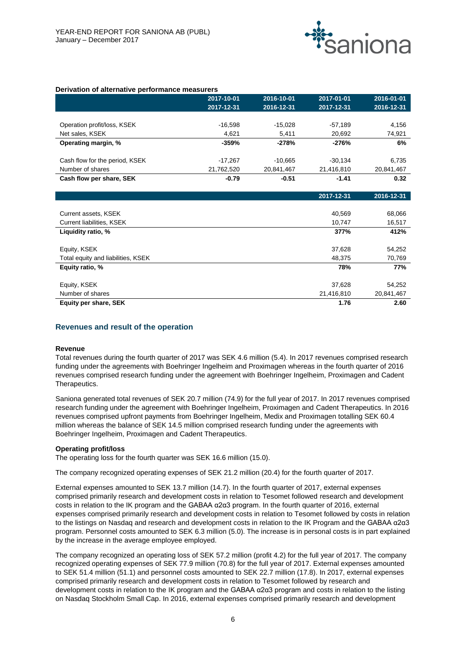

**2017-12-31 2016-12-31**

#### **Derivation of alternative performance measurers**

|                                | 2017-10-01 | 2016-10-01 | 2017-01-01 | 2016-01-01 |
|--------------------------------|------------|------------|------------|------------|
|                                | 2017-12-31 | 2016-12-31 | 2017-12-31 | 2016-12-31 |
|                                |            |            |            |            |
| Operation profit/loss, KSEK    | $-16.598$  | $-15.028$  | $-57.189$  | 4,156      |
| Net sales, KSEK                | 4,621      | 5,411      | 20,692     | 74,921     |
| Operating margin, %            | $-359%$    | $-278%$    | -276%      | 6%         |
| Cash flow for the period, KSEK | $-17.267$  | $-10.665$  | $-30.134$  | 6.735      |
| Number of shares               | 21,762,520 | 20,841,467 | 21,416,810 | 20,841,467 |
| Cash flow per share, SEK       | $-0.79$    | $-0.51$    | $-1.41$    | 0.32       |

|                                    | <u>.</u>   | $-0.001$   |
|------------------------------------|------------|------------|
|                                    |            |            |
| Current assets, KSEK               | 40,569     | 68,066     |
| Current liabilities, KSEK          | 10,747     | 16,517     |
| Liquidity ratio, %                 | 377%       | 412%       |
|                                    |            |            |
| Equity, KSEK                       | 37,628     | 54,252     |
| Total equity and liabilities, KSEK | 48.375     | 70,769     |
| Equity ratio, %                    | 78%        | 77%        |
|                                    |            |            |
| Equity, KSEK                       | 37,628     | 54,252     |
| Number of shares                   | 21,416,810 | 20,841,467 |
| Equity per share, SEK              | 1.76       | 2.60       |
|                                    |            |            |

#### **Revenues and result of the operation**

#### **Revenue**

Total revenues during the fourth quarter of 2017 was SEK 4.6 million (5.4). In 2017 revenues comprised research funding under the agreements with Boehringer Ingelheim and Proximagen whereas in the fourth quarter of 2016 revenues comprised research funding under the agreement with Boehringer Ingelheim, Proximagen and Cadent Therapeutics.

Saniona generated total revenues of SEK 20.7 million (74.9) for the full year of 2017. In 2017 revenues comprised research funding under the agreement with Boehringer Ingelheim, Proximagen and Cadent Therapeutics. In 2016 revenues comprised upfront payments from Boehringer Ingelheim, Medix and Proximagen totalling SEK 60.4 million whereas the balance of SEK 14.5 million comprised research funding under the agreements with Boehringer Ingelheim, Proximagen and Cadent Therapeutics.

#### **Operating profit/loss**

The operating loss for the fourth quarter was SEK 16.6 million (15.0).

The company recognized operating expenses of SEK 21.2 million (20.4) for the fourth quarter of 2017.

External expenses amounted to SEK 13.7 million (14.7). In the fourth quarter of 2017, external expenses comprised primarily research and development costs in relation to Tesomet followed research and development costs in relation to the IK program and the GABAA α2α3 program. In the fourth quarter of 2016, external expenses comprised primarily research and development costs in relation to Tesomet followed by costs in relation to the listings on Nasdaq and research and development costs in relation to the IK Program and the GABAA α2α3 program. Personnel costs amounted to SEK 6.3 million (5.0). The increase is in personal costs is in part explained by the increase in the average employee employed.

The company recognized an operating loss of SEK 57.2 million (profit 4.2) for the full year of 2017. The company recognized operating expenses of SEK 77.9 million (70.8) for the full year of 2017. External expenses amounted to SEK 51.4 million (51.1) and personnel costs amounted to SEK 22.7 million (17.8). In 2017, external expenses comprised primarily research and development costs in relation to Tesomet followed by research and development costs in relation to the IK program and the GABAA α2α3 program and costs in relation to the listing on Nasdaq Stockholm Small Cap. In 2016, external expenses comprised primarily research and development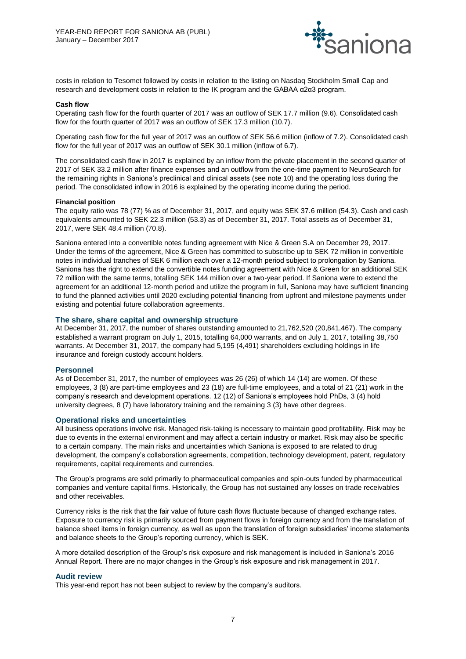

costs in relation to Tesomet followed by costs in relation to the listing on Nasdaq Stockholm Small Cap and research and development costs in relation to the IK program and the GABAA α2α3 program.

#### **Cash flow**

Operating cash flow for the fourth quarter of 2017 was an outflow of SEK 17.7 million (9.6). Consolidated cash flow for the fourth quarter of 2017 was an outflow of SEK 17.3 million (10.7).

Operating cash flow for the full year of 2017 was an outflow of SEK 56.6 million (inflow of 7.2). Consolidated cash flow for the full year of 2017 was an outflow of SEK 30.1 million (inflow of 6.7).

The consolidated cash flow in 2017 is explained by an inflow from the private placement in the second quarter of 2017 of SEK 33.2 million after finance expenses and an outflow from the one-time payment to NeuroSearch for the remaining rights in Saniona's preclinical and clinical assets (see note 10) and the operating loss during the period. The consolidated inflow in 2016 is explained by the operating income during the period.

#### **Financial position**

The equity ratio was 78 (77) % as of December 31, 2017, and equity was SEK 37.6 million (54.3). Cash and cash equivalents amounted to SEK 22.3 million (53.3) as of December 31, 2017. Total assets as of December 31, 2017, were SEK 48.4 million (70.8).

Saniona entered into a convertible notes funding agreement with Nice & Green S.A on December 29, 2017. Under the terms of the agreement, Nice & Green has committed to subscribe up to SEK 72 million in convertible notes in individual tranches of SEK 6 million each over a 12-month period subject to prolongation by Saniona. Saniona has the right to extend the convertible notes funding agreement with Nice & Green for an additional SEK 72 million with the same terms, totalling SEK 144 million over a two-year period. If Saniona were to extend the agreement for an additional 12-month period and utilize the program in full, Saniona may have sufficient financing to fund the planned activities until 2020 excluding potential financing from upfront and milestone payments under existing and potential future collaboration agreements.

#### **The share, share capital and ownership structure**

At December 31, 2017, the number of shares outstanding amounted to 21,762,520 (20,841,467). The company established a warrant program on July 1, 2015, totalling 64,000 warrants, and on July 1, 2017, totalling 38,750 warrants. At December 31, 2017, the company had 5,195 (4,491) shareholders excluding holdings in life insurance and foreign custody account holders.

#### **Personnel**

As of December 31, 2017, the number of employees was 26 (26) of which 14 (14) are women. Of these employees, 3 (8) are part-time employees and 23 (18) are full-time employees, and a total of 21 (21) work in the company's research and development operations. 12 (12) of Saniona's employees hold PhDs, 3 (4) hold university degrees, 8 (7) have laboratory training and the remaining 3 (3) have other degrees.

#### **Operational risks and uncertainties**

All business operations involve risk. Managed risk-taking is necessary to maintain good profitability. Risk may be due to events in the external environment and may affect a certain industry or market. Risk may also be specific to a certain company. The main risks and uncertainties which Saniona is exposed to are related to drug development, the company's collaboration agreements, competition, technology development, patent, regulatory requirements, capital requirements and currencies.

The Group's programs are sold primarily to pharmaceutical companies and spin-outs funded by pharmaceutical companies and venture capital firms. Historically, the Group has not sustained any losses on trade receivables and other receivables.

Currency risks is the risk that the fair value of future cash flows fluctuate because of changed exchange rates. Exposure to currency risk is primarily sourced from payment flows in foreign currency and from the translation of balance sheet items in foreign currency, as well as upon the translation of foreign subsidiaries' income statements and balance sheets to the Group's reporting currency, which is SEK.

A more detailed description of the Group's risk exposure and risk management is included in Saniona's 2016 Annual Report. There are no major changes in the Group's risk exposure and risk management in 2017.

#### **Audit review**

This year-end report has not been subject to review by the company's auditors.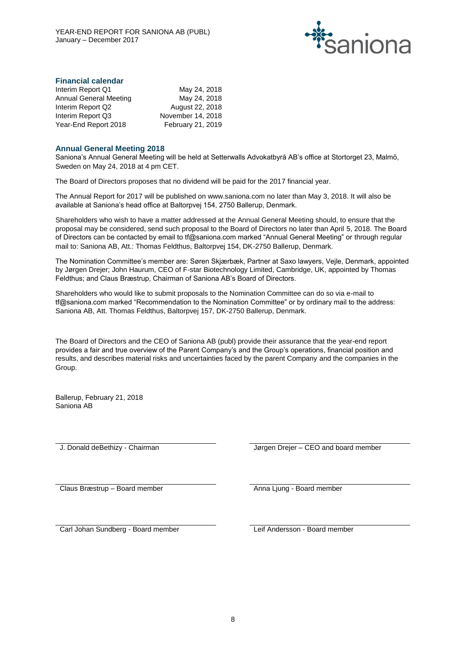

# **Financial calendar**

| Interim Report Q1      | May 24, 2018      |
|------------------------|-------------------|
| Annual General Meeting | May 24, 2018      |
| Interim Report Q2      | August 22, 2018   |
| Interim Report Q3      | November 14, 2018 |
| Year-End Report 2018   | February 21, 2019 |

#### **Annual General Meeting 2018**

Saniona's Annual General Meeting will be held at Setterwalls Advokatbyrå AB's office at Stortorget 23, Malmö, Sweden on May 24, 2018 at 4 pm CET.

The Board of Directors proposes that no dividend will be paid for the 2017 financial year.

The Annual Report for 2017 will be published on www.saniona.com no later than May 3, 2018. It will also be available at Saniona's head office at Baltorpvej 154, 2750 Ballerup, Denmark.

Shareholders who wish to have a matter addressed at the Annual General Meeting should, to ensure that the proposal may be considered, send such proposal to the Board of Directors no later than April 5, 2018. The Board of Directors can be contacted by email to tf@saniona.com marked "Annual General Meeting" or through regular mail to: Saniona AB, Att.: Thomas Feldthus, Baltorpvej 154, DK-2750 Ballerup, Denmark.

The Nomination Committee's member are: Søren Skjærbæk, Partner at Saxo lawyers, Vejle, Denmark, appointed by Jørgen Drejer; John Haurum, CEO of F-star Biotechnology Limited, Cambridge, UK, appointed by Thomas Feldthus; and Claus Bræstrup, Chairman of Saniona AB's Board of Directors.

Shareholders who would like to submit proposals to the Nomination Committee can do so via e-mail to tf@saniona.com marked "Recommendation to the Nomination Committee" or by ordinary mail to the address: Saniona AB, Att. Thomas Feldthus, Baltorpvej 157, DK-2750 Ballerup, Denmark.

The Board of Directors and the CEO of Saniona AB (publ) provide their assurance that the year-end report provides a fair and true overview of the Parent Company's and the Group's operations, financial position and results, and describes material risks and uncertainties faced by the parent Company and the companies in the Group.

Ballerup, February 21, 2018 Saniona AB

J. Donald deBethizy - Chairman Jørgen Drejer – CEO and board member

Claus Bræstrup – Board member Anna Ljung - Board member

Carl Johan Sundberg - Board member Leif Andersson - Board member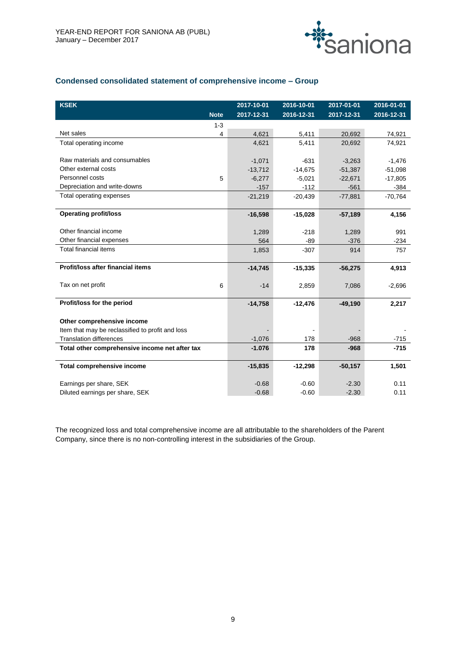

# **Condensed consolidated statement of comprehensive income – Group**

| <b>KSEK</b>                                      |             | 2017-10-01 | 2016-10-01 | 2017-01-01 | 2016-01-01 |
|--------------------------------------------------|-------------|------------|------------|------------|------------|
|                                                  | <b>Note</b> | 2017-12-31 | 2016-12-31 | 2017-12-31 | 2016-12-31 |
|                                                  | $1 - 3$     |            |            |            |            |
| Net sales                                        | 4           | 4,621      | 5,411      | 20,692     | 74,921     |
| Total operating income                           |             | 4,621      | 5,411      | 20,692     | 74,921     |
|                                                  |             |            |            |            |            |
| Raw materials and consumables                    |             | $-1,071$   | $-631$     | $-3,263$   | $-1,476$   |
| Other external costs                             |             | $-13,712$  | $-14,675$  | $-51,387$  | $-51,098$  |
| Personnel costs                                  | 5           | $-6,277$   | $-5,021$   | $-22,671$  | $-17,805$  |
| Depreciation and write-downs                     |             | $-157$     | $-112$     | $-561$     | -384       |
| Total operating expenses                         |             | $-21,219$  | $-20,439$  | $-77,881$  | $-70,764$  |
|                                                  |             |            |            |            |            |
| <b>Operating profit/loss</b>                     |             | $-16,598$  | $-15,028$  | $-57,189$  | 4,156      |
|                                                  |             |            |            |            |            |
| Other financial income                           |             | 1,289      | $-218$     | 1,289      | 991        |
| Other financial expenses                         |             | 564        | $-89$      | $-376$     | $-234$     |
| <b>Total financial items</b>                     |             | 1,853      | $-307$     | 914        | 757        |
|                                                  |             |            |            |            |            |
| Profit/loss after financial items                |             | $-14,745$  | $-15,335$  | $-56,275$  | 4,913      |
|                                                  |             |            |            |            |            |
| Tax on net profit                                | 6           | $-14$      | 2,859      | 7,086      | $-2,696$   |
|                                                  |             |            |            |            |            |
| Profit/loss for the period                       |             | $-14,758$  | $-12,476$  | $-49,190$  | 2,217      |
|                                                  |             |            |            |            |            |
| Other comprehensive income                       |             |            |            |            |            |
| Item that may be reclassified to profit and loss |             |            |            |            |            |
| <b>Translation differences</b>                   |             | $-1,076$   | 178        | $-968$     | $-715$     |
| Total other comprehensive income net after tax   |             | $-1.076$   | 178        | $-968$     | $-715$     |
|                                                  |             |            |            |            |            |
| <b>Total comprehensive income</b>                |             | $-15,835$  | $-12,298$  | $-50,157$  | 1,501      |
|                                                  |             |            |            |            |            |
| Earnings per share, SEK                          |             | $-0.68$    | $-0.60$    | $-2.30$    | 0.11       |
| Diluted earnings per share, SEK                  |             | $-0.68$    | $-0.60$    | $-2.30$    | 0.11       |

The recognized loss and total comprehensive income are all attributable to the shareholders of the Parent Company, since there is no non-controlling interest in the subsidiaries of the Group.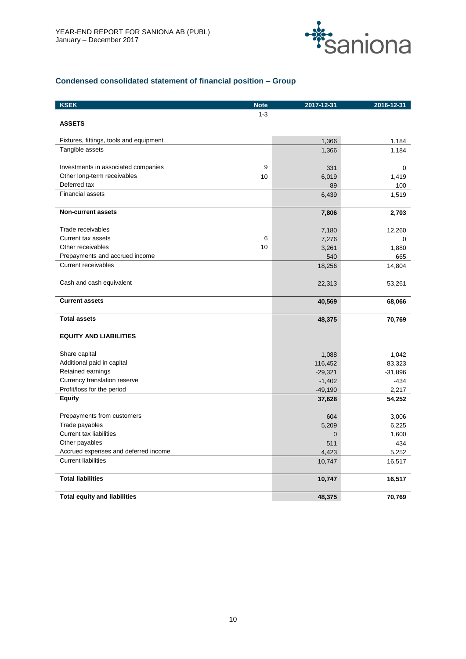

# **Condensed consolidated statement of financial position – Group**

| <b>KSEK</b>                             | <b>Note</b> | 2017-12-31     | 2016-12-31 |
|-----------------------------------------|-------------|----------------|------------|
|                                         | $1 - 3$     |                |            |
| <b>ASSETS</b>                           |             |                |            |
| Fixtures, fittings, tools and equipment |             | 1,366          | 1,184      |
| Tangible assets                         |             | 1,366          | 1,184      |
|                                         |             |                |            |
| Investments in associated companies     | 9           | 331            | 0          |
| Other long-term receivables             | 10          | 6,019          | 1,419      |
| Deferred tax                            |             | 89             | 100        |
| <b>Financial assets</b>                 |             | 6,439          | 1,519      |
| <b>Non-current assets</b>               |             | 7,806          | 2,703      |
| Trade receivables                       |             | 7,180          | 12,260     |
| Current tax assets                      | 6           | 7,276          | 0          |
| Other receivables                       | 10          | 3,261          | 1,880      |
| Prepayments and accrued income          |             | 540            | 665        |
| <b>Current receivables</b>              |             | 18,256         | 14,804     |
| Cash and cash equivalent                |             | 22,313         | 53,261     |
| <b>Current assets</b>                   |             | 40,569         | 68,066     |
| <b>Total assets</b>                     |             | 48,375         | 70,769     |
| <b>EQUITY AND LIABILITIES</b>           |             |                |            |
| Share capital                           |             | 1,088          | 1,042      |
| Additional paid in capital              |             | 116,452        | 83,323     |
| Retained earnings                       |             | $-29,321$      | $-31,896$  |
| Currency translation reserve            |             | $-1,402$       | $-434$     |
| Profit/loss for the period              |             | $-49,190$      | 2,217      |
| <b>Equity</b>                           |             | 37,628         | 54,252     |
| Prepayments from customers              |             | 604            | 3,006      |
| Trade payables                          |             | 5,209          | 6,225      |
| Current tax liabilities                 |             | $\overline{0}$ | 1,600      |
| Other payables                          |             | 511            | 434        |
| Accrued expenses and deferred income    |             | 4,423          | 5,252      |
| <b>Current liabilities</b>              |             | 10,747         | 16,517     |
| <b>Total liabilities</b>                |             | 10,747         | 16,517     |
| <b>Total equity and liabilities</b>     |             | 48,375         | 70,769     |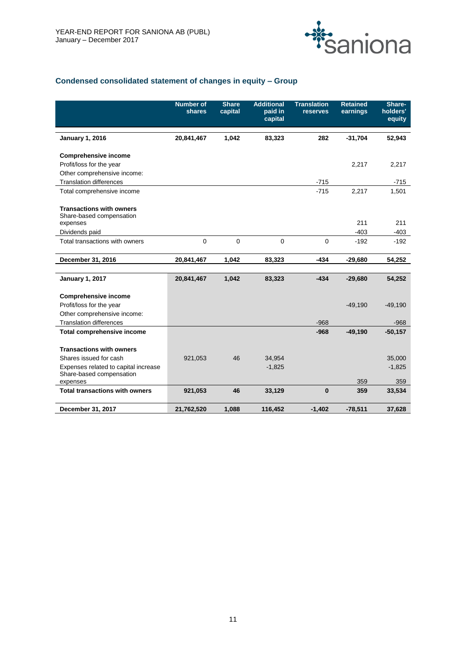

# **Condensed consolidated statement of changes in equity – Group**

|                                                                  | <b>Number of</b><br>shares | <b>Share</b><br>capital | <b>Additional</b><br>paid in<br>capital | <b>Translation</b><br>reserves | <b>Retained</b><br>earnings | Share-<br>holders'<br>equity |
|------------------------------------------------------------------|----------------------------|-------------------------|-----------------------------------------|--------------------------------|-----------------------------|------------------------------|
| <b>January 1, 2016</b>                                           | 20,841,467                 | 1,042                   | 83,323                                  | 282                            | $-31,704$                   | 52,943                       |
| <b>Comprehensive income</b>                                      |                            |                         |                                         |                                |                             |                              |
| Profit/loss for the year                                         |                            |                         |                                         |                                | 2,217                       | 2,217                        |
| Other comprehensive income:                                      |                            |                         |                                         |                                |                             |                              |
| <b>Translation differences</b>                                   |                            |                         |                                         | $-715$                         |                             | $-715$                       |
| Total comprehensive income                                       |                            |                         |                                         | $-715$                         | 2,217                       | 1,501                        |
| <b>Transactions with owners</b><br>Share-based compensation      |                            |                         |                                         |                                | 211                         | 211                          |
| expenses<br>Dividends paid                                       |                            |                         |                                         |                                | $-403$                      | $-403$                       |
| Total transactions with owners                                   | 0                          | 0                       | 0                                       | $\mathbf 0$                    | $-192$                      | $-192$                       |
| December 31, 2016                                                | 20,841,467                 | 1,042                   | 83,323                                  | $-434$                         | $-29,680$                   | 54,252                       |
| <b>January 1, 2017</b>                                           | 20,841,467                 | 1,042                   | 83,323                                  | $-434$                         | $-29,680$                   | 54,252                       |
| <b>Comprehensive income</b>                                      |                            |                         |                                         |                                |                             |                              |
| Profit/loss for the year                                         |                            |                         |                                         |                                | $-49,190$                   | $-49,190$                    |
| Other comprehensive income:                                      |                            |                         |                                         |                                |                             |                              |
| <b>Translation differences</b>                                   |                            |                         |                                         | $-968$                         |                             | $-968$                       |
| <b>Total comprehensive income</b>                                |                            |                         |                                         | $-968$                         | $-49,190$                   | $-50,157$                    |
|                                                                  |                            |                         |                                         |                                |                             |                              |
| <b>Transactions with owners</b>                                  |                            |                         |                                         |                                |                             |                              |
| Shares issued for cash                                           | 921,053                    | 46                      | 34,954                                  |                                |                             | 35,000                       |
| Expenses related to capital increase<br>Share-based compensation |                            |                         | $-1,825$                                |                                |                             | $-1,825$                     |
| expenses                                                         |                            |                         |                                         |                                | 359                         | 359                          |
| <b>Total transactions with owners</b>                            | 921,053                    | 46                      | 33,129                                  | $\bf{0}$                       | 359                         | 33,534                       |
| December 31, 2017                                                | 21,762,520                 | 1.088                   | 116.452                                 | $-1.402$                       | $-78,511$                   | 37.628                       |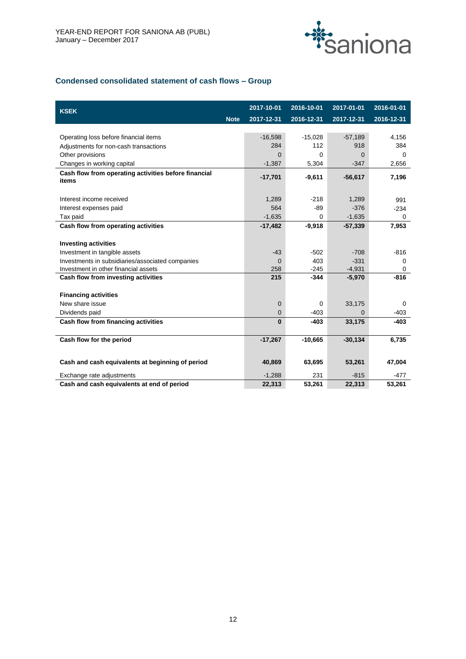

# **Condensed consolidated statement of cash flows – Group**

| <b>KSEK</b>                                                   | 2017-10-01  | 2016-10-01 | 2017-01-01 | 2016-01-01 |
|---------------------------------------------------------------|-------------|------------|------------|------------|
| <b>Note</b>                                                   | 2017-12-31  | 2016-12-31 | 2017-12-31 | 2016-12-31 |
|                                                               |             |            |            |            |
| Operating loss before financial items                         | $-16,598$   | $-15,028$  | $-57,189$  | 4,156      |
| Adjustments for non-cash transactions                         | 284         | 112        | 918        | 384        |
| Other provisions                                              | $\Omega$    | 0          | $\Omega$   | 0          |
| Changes in working capital                                    | $-1,387$    | 5,304      | $-347$     | 2,656      |
| Cash flow from operating activities before financial<br>items | $-17,701$   | $-9,611$   | $-56,617$  | 7,196      |
| Interest income received                                      | 1,289       | $-218$     | 1,289      | 991        |
| Interest expenses paid                                        | 564         | $-89$      | $-376$     | $-234$     |
| Tax paid                                                      | $-1,635$    | 0          | $-1,635$   | 0          |
| Cash flow from operating activities                           | $-17,482$   | $-9,918$   | $-57,339$  | 7,953      |
|                                                               |             |            |            |            |
| <b>Investing activities</b>                                   |             |            |            |            |
| Investment in tangible assets                                 | $-43$       | $-502$     | $-708$     | $-816$     |
| Investments in subsidiaries/associated companies              | $\mathbf 0$ | 403        | $-331$     | 0          |
| Investment in other financial assets                          | 258         | $-245$     | $-4,931$   | 0          |
| Cash flow from investing activities                           | 215         | $-344$     | $-5,970$   | $-816$     |
| <b>Financing activities</b>                                   |             |            |            |            |
| New share issue                                               | 0           | $\Omega$   | 33,175     | 0          |
| Dividends paid                                                | 0           | $-403$     | 0          | $-403$     |
| Cash flow from financing activities                           | $\bf{0}$    | $-403$     | 33,175     | $-403$     |
| Cash flow for the period                                      | $-17,267$   | $-10,665$  | $-30,134$  | 6,735      |
|                                                               |             |            |            |            |
| Cash and cash equivalents at beginning of period              | 40,869      | 63,695     | 53,261     | 47,004     |
| Exchange rate adjustments                                     | $-1,288$    | 231        | $-815$     | $-477$     |
| Cash and cash equivalents at end of period                    | 22,313      | 53,261     | 22,313     | 53,261     |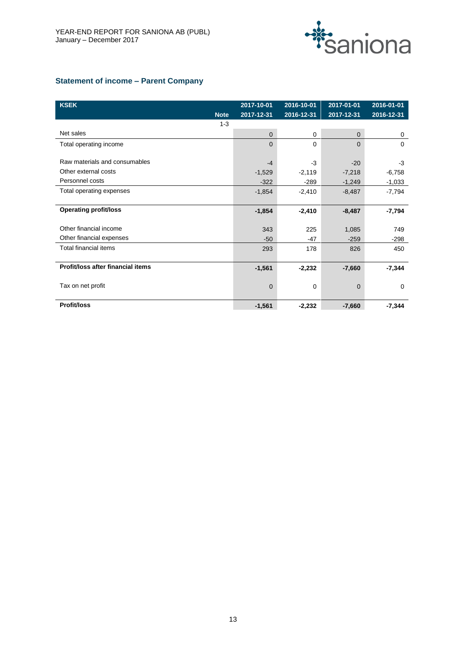

# **Statement of income – Parent Company**

| <b>KSEK</b>                       | 2017-10-01     | 2016-10-01  | 2017-01-01   | 2016-01-01  |
|-----------------------------------|----------------|-------------|--------------|-------------|
| <b>Note</b>                       | 2017-12-31     | 2016-12-31  | 2017-12-31   | 2016-12-31  |
| $1 - 3$                           |                |             |              |             |
| Net sales                         | $\Omega$       | $\Omega$    | $\mathbf{0}$ | 0           |
| Total operating income            | $\Omega$       | $\Omega$    | $\Omega$     | 0           |
|                                   |                |             |              |             |
| Raw materials and consumables     | $-4$           | -3          | $-20$        | $-3$        |
| Other external costs              | $-1,529$       | $-2,119$    | $-7,218$     | $-6,758$    |
| Personnel costs                   | $-322$         | $-289$      | $-1,249$     | $-1,033$    |
| Total operating expenses          | $-1,854$       | $-2,410$    | $-8,487$     | $-7,794$    |
|                                   |                |             |              |             |
| <b>Operating profit/loss</b>      | $-1,854$       | $-2,410$    | $-8,487$     | $-7,794$    |
|                                   |                |             |              |             |
| Other financial income            | 343            | 225         | 1,085        | 749         |
| Other financial expenses          | $-50$          | -47         | $-259$       | $-298$      |
| <b>Total financial items</b>      | 293            | 178         | 826          | 450         |
|                                   |                |             |              |             |
| Profit/loss after financial items | $-1,561$       | $-2,232$    | $-7,660$     | $-7,344$    |
|                                   |                |             |              |             |
| Tax on net profit                 | $\overline{0}$ | $\mathbf 0$ | $\mathbf 0$  | $\mathbf 0$ |
|                                   |                |             |              |             |
| <b>Profit/loss</b>                | $-1,561$       | $-2,232$    | $-7,660$     | $-7,344$    |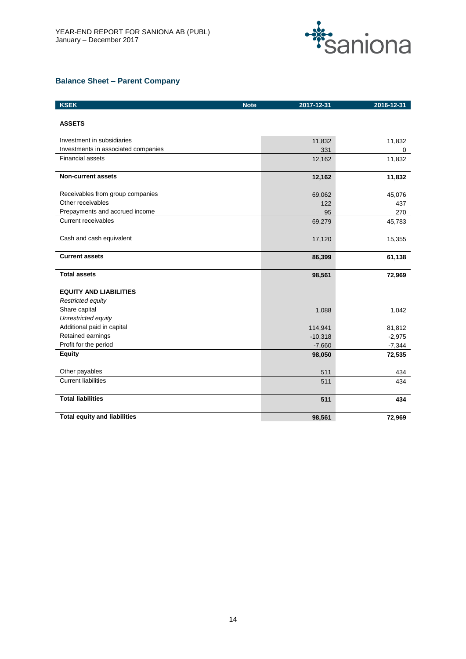

# **Balance Sheet – Parent Company**

| <b>KSEK</b>                         | <b>Note</b><br>2017-12-31 | 2016-12-31 |
|-------------------------------------|---------------------------|------------|
| <b>ASSETS</b>                       |                           |            |
| Investment in subsidiaries          | 11,832                    | 11,832     |
| Investments in associated companies | 331                       | 0          |
| <b>Financial assets</b>             | 12,162                    | 11,832     |
| <b>Non-current assets</b>           | 12,162                    | 11,832     |
| Receivables from group companies    | 69,062                    | 45,076     |
| Other receivables                   | 122                       | 437        |
| Prepayments and accrued income      | 95                        | 270        |
| <b>Current receivables</b>          | 69,279                    | 45,783     |
| Cash and cash equivalent            | 17,120                    | 15,355     |
| <b>Current assets</b>               | 86,399                    | 61,138     |
| <b>Total assets</b>                 | 98,561                    | 72,969     |
| <b>EQUITY AND LIABILITIES</b>       |                           |            |
| Restricted equity                   |                           |            |
| Share capital                       | 1,088                     | 1,042      |
| Unrestricted equity                 |                           |            |
| Additional paid in capital          | 114,941                   | 81,812     |
| Retained earnings                   | $-10,318$                 | $-2,975$   |
| Profit for the period               | $-7,660$                  | $-7,344$   |
| <b>Equity</b>                       | 98,050                    | 72,535     |
| Other payables                      | 511                       | 434        |
| <b>Current liabilities</b>          | 511                       | 434        |
| <b>Total liabilities</b>            | 511                       | 434        |
| <b>Total equity and liabilities</b> | 98,561                    | 72.969     |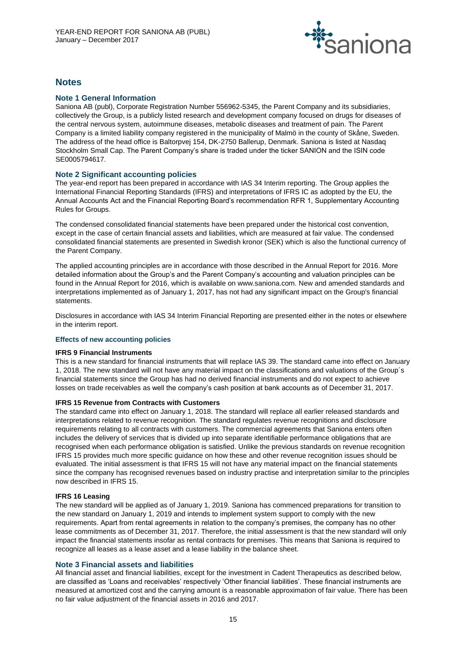

# **Notes**

# **Note 1 General Information**

Saniona AB (publ), Corporate Registration Number 556962-5345, the Parent Company and its subsidiaries, collectively the Group, is a publicly listed research and development company focused on drugs for diseases of the central nervous system, autoimmune diseases, metabolic diseases and treatment of pain. The Parent Company is a limited liability company registered in the municipality of Malmö in the county of Skåne, Sweden. The address of the head office is Baltorpvej 154, DK-2750 Ballerup, Denmark. Saniona is listed at Nasdaq Stockholm Small Cap. The Parent Company's share is traded under the ticker SANION and the ISIN code SE0005794617.

# **Note 2 Significant accounting policies**

The year-end report has been prepared in accordance with IAS 34 Interim reporting. The Group applies the International Financial Reporting Standards (IFRS) and interpretations of IFRS IC as adopted by the EU, the Annual Accounts Act and the Financial Reporting Board's recommendation RFR 1, Supplementary Accounting Rules for Groups.

The condensed consolidated financial statements have been prepared under the historical cost convention, except in the case of certain financial assets and liabilities, which are measured at fair value. The condensed consolidated financial statements are presented in Swedish kronor (SEK) which is also the functional currency of the Parent Company.

The applied accounting principles are in accordance with those described in the Annual Report for 2016. More detailed information about the Group's and the Parent Company's accounting and valuation principles can be found in the Annual Report for 2016, which is available on www.saniona.com. New and amended standards and interpretations implemented as of January 1, 2017, has not had any significant impact on the Group's financial statements.

Disclosures in accordance with IAS 34 Interim Financial Reporting are presented either in the notes or elsewhere in the interim report.

# **Effects of new accounting policies**

#### **IFRS 9 Financial Instruments**

This is a new standard for financial instruments that will replace IAS 39. The standard came into effect on January 1, 2018. The new standard will not have any material impact on the classifications and valuations of the Group´s financial statements since the Group has had no derived financial instruments and do not expect to achieve losses on trade receivables as well the company's cash position at bank accounts as of December 31, 2017.

# **IFRS 15 Revenue from Contracts with Customers**

The standard came into effect on January 1, 2018. The standard will replace all earlier released standards and interpretations related to revenue recognition. The standard regulates revenue recognitions and disclosure requirements relating to all contracts with customers. The commercial agreements that Saniona enters often includes the delivery of services that is divided up into separate identifiable performance obligations that are recognised when each performance obligation is satisfied. Unlike the previous standards on revenue recognition IFRS 15 provides much more specific guidance on how these and other revenue recognition issues should be evaluated. The initial assessment is that IFRS 15 will not have any material impact on the financial statements since the company has recognised revenues based on industry practise and interpretation similar to the principles now described in IFRS 15.

#### **IFRS 16 Leasing**

The new standard will be applied as of January 1, 2019. Saniona has commenced preparations for transition to the new standard on January 1, 2019 and intends to implement system support to comply with the new requirements. Apart from rental agreements in relation to the company's premises, the company has no other lease commitments as of December 31, 2017. Therefore, the initial assessment is that the new standard will only impact the financial statements insofar as rental contracts for premises. This means that Saniona is required to recognize all leases as a lease asset and a lease liability in the balance sheet.

# **Note 3 Financial assets and liabilities**

All financial asset and financial liabilities, except for the investment in Cadent Therapeutics as described below, are classified as 'Loans and receivables' respectively 'Other financial liabilities'. These financial instruments are measured at amortized cost and the carrying amount is a reasonable approximation of fair value. There has been no fair value adjustment of the financial assets in 2016 and 2017.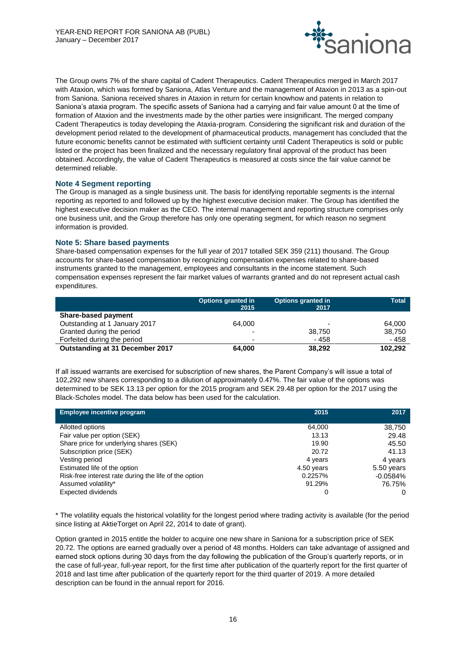

The Group owns 7% of the share capital of Cadent Therapeutics. Cadent Therapeutics merged in March 2017 with Ataxion, which was formed by Saniona, Atlas Venture and the management of Ataxion in 2013 as a spin-out from Saniona. Saniona received shares in Ataxion in return for certain knowhow and patents in relation to Saniona's ataxia program. The specific assets of Saniona had a carrying and fair value amount 0 at the time of formation of Ataxion and the investments made by the other parties were insignificant. The merged company Cadent Therapeutics is today developing the Ataxia-program. Considering the significant risk and duration of the development period related to the development of pharmaceutical products, management has concluded that the future economic benefits cannot be estimated with sufficient certainty until Cadent Therapeutics is sold or public listed or the project has been finalized and the necessary regulatory final approval of the product has been obtained. Accordingly, the value of Cadent Therapeutics is measured at costs since the fair value cannot be determined reliable.

# **Note 4 Segment reporting**

The Group is managed as a single business unit. The basis for identifying reportable segments is the internal reporting as reported to and followed up by the highest executive decision maker. The Group has identified the highest executive decision maker as the CEO. The internal management and reporting structure comprises only one business unit, and the Group therefore has only one operating segment, for which reason no segment information is provided.

# **Note 5: Share based payments**

Share-based compensation expenses for the full year of 2017 totalled SEK 359 (211) thousand. The Group accounts for share-based compensation by recognizing compensation expenses related to share-based instruments granted to the management, employees and consultants in the income statement. Such compensation expenses represent the fair market values of warrants granted and do not represent actual cash expenditures.

|                                 | Options granted in<br>2015 | <b>Options granted in</b><br>2017 | <b>Total</b> |
|---------------------------------|----------------------------|-----------------------------------|--------------|
| <b>Share-based payment</b>      |                            |                                   |              |
| Outstanding at 1 January 2017   | 64.000                     | $\overline{\phantom{0}}$          | 64,000       |
| Granted during the period       |                            | 38.750                            | 38.750       |
| Forfeited during the period     | $\overline{\phantom{0}}$   | - 458                             | - 458        |
| Outstanding at 31 December 2017 | 64.000                     | 38,292                            | 102,292      |

If all issued warrants are exercised for subscription of new shares, the Parent Company's will issue a total of 102,292 new shares corresponding to a dilution of approximately 0.47%. The fair value of the options was determined to be SEK 13.13 per option for the 2015 program and SEK 29.48 per option for the 2017 using the Black-Scholes model. The data below has been used for the calculation.

| <b>Employee incentive program</b>                     | 2015       | 2017       |
|-------------------------------------------------------|------------|------------|
| <b>Allotted options</b>                               | 64,000     | 38,750     |
| Fair value per option (SEK)                           | 13.13      | 29.48      |
| Share price for underlying shares (SEK)               | 19.90      | 45.50      |
| <b>Subscription price (SEK)</b>                       | 20.72      | 41.13      |
| <b>Vesting period</b>                                 | 4 years    | 4 years    |
| Estimated life of the option                          | 4.50 years | 5.50 years |
| Risk-free interest rate during the life of the option | 0.2257%    | $-0.0584%$ |
| Assumed volatility*                                   | 91.29%     | 76.75%     |
| <b>Expected dividends</b>                             | 0          | O          |

\* The volatility equals the historical volatility for the longest period where trading activity is available (for the period since listing at AktieTorget on April 22, 2014 to date of grant).

Option granted in 2015 entitle the holder to acquire one new share in Saniona for a subscription price of SEK 20.72. The options are earned gradually over a period of 48 months. Holders can take advantage of assigned and earned stock options during 30 days from the day following the publication of the Group's quarterly reports, or in the case of full-year, full-year report, for the first time after publication of the quarterly report for the first quarter of 2018 and last time after publication of the quarterly report for the third quarter of 2019. A more detailed description can be found in the annual report for 2016.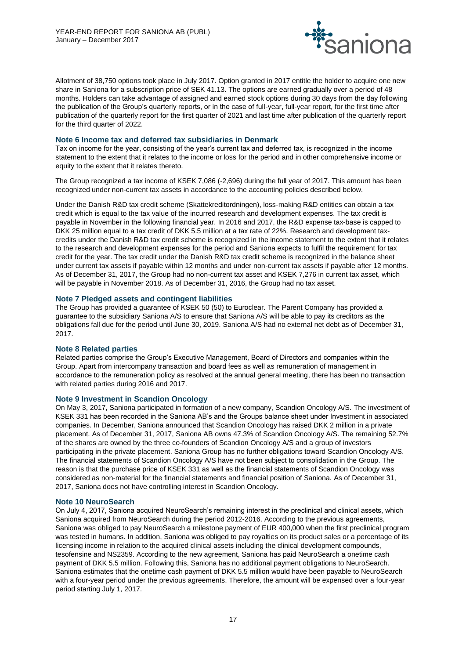

Allotment of 38,750 options took place in July 2017. Option granted in 2017 entitle the holder to acquire one new share in Saniona for a subscription price of SEK 41.13. The options are earned gradually over a period of 48 months. Holders can take advantage of assigned and earned stock options during 30 days from the day following the publication of the Group's quarterly reports, or in the case of full-year, full-year report, for the first time after publication of the quarterly report for the first quarter of 2021 and last time after publication of the quarterly report for the third quarter of 2022.

#### **Note 6 Income tax and deferred tax subsidiaries in Denmark**

Tax on income for the year, consisting of the year's current tax and deferred tax, is recognized in the income statement to the extent that it relates to the income or loss for the period and in other comprehensive income or equity to the extent that it relates thereto.

The Group recognized a tax income of KSEK 7,086 (-2,696) during the full year of 2017. This amount has been recognized under non-current tax assets in accordance to the accounting policies described below.

Under the Danish R&D tax credit scheme (Skattekreditordningen), loss-making R&D entities can obtain a tax credit which is equal to the tax value of the incurred research and development expenses. The tax credit is payable in November in the following financial year. In 2016 and 2017, the R&D expense tax-base is capped to DKK 25 million equal to a tax credit of DKK 5.5 million at a tax rate of 22%. Research and development taxcredits under the Danish R&D tax credit scheme is recognized in the income statement to the extent that it relates to the research and development expenses for the period and Saniona expects to fulfil the requirement for tax credit for the year. The tax credit under the Danish R&D tax credit scheme is recognized in the balance sheet under current tax assets if payable within 12 months and under non-current tax assets if payable after 12 months. As of December 31, 2017, the Group had no non-current tax asset and KSEK 7,276 in current tax asset, which will be payable in November 2018. As of December 31, 2016, the Group had no tax asset.

# **Note 7 Pledged assets and contingent liabilities**

The Group has provided a guarantee of KSEK 50 (50) to Euroclear. The Parent Company has provided a guarantee to the subsidiary Saniona A/S to ensure that Saniona A/S will be able to pay its creditors as the obligations fall due for the period until June 30, 2019. Saniona A/S had no external net debt as of December 31, 2017.

# **Note 8 Related parties**

Related parties comprise the Group's Executive Management, Board of Directors and companies within the Group. Apart from intercompany transaction and board fees as well as remuneration of management in accordance to the remuneration policy as resolved at the annual general meeting, there has been no transaction with related parties during 2016 and 2017.

#### **Note 9 Investment in Scandion Oncology**

On May 3, 2017, Saniona participated in formation of a new company, Scandion Oncology A/S. The investment of KSEK 331 has been recorded in the Saniona AB's and the Groups balance sheet under Investment in associated companies. In December, Saniona announced that Scandion Oncology has raised DKK 2 million in a private placement. As of December 31, 2017, Saniona AB owns 47.3% of Scandion Oncology A/S. The remaining 52.7% of the shares are owned by the three co-founders of Scandion Oncology A/S and a group of investors participating in the private placement. Saniona Group has no further obligations toward Scandion Oncology A/S. The financial statements of Scandion Oncology A/S have not been subject to consolidation in the Group. The reason is that the purchase price of KSEK 331 as well as the financial statements of Scandion Oncology was considered as non-material for the financial statements and financial position of Saniona. As of December 31, 2017, Saniona does not have controlling interest in Scandion Oncology.

#### **Note 10 NeuroSearch**

On July 4, 2017, Saniona acquired NeuroSearch's remaining interest in the preclinical and clinical assets, which Saniona acquired from NeuroSearch during the period 2012-2016. According to the previous agreements, Saniona was obliged to pay NeuroSearch a milestone payment of EUR 400,000 when the first preclinical program was tested in humans. In addition, Saniona was obliged to pay royalties on its product sales or a percentage of its licensing income in relation to the acquired clinical assets including the clinical development compounds, tesofensine and NS2359. According to the new agreement, Saniona has paid NeuroSearch a onetime cash payment of DKK 5.5 million. Following this, Saniona has no additional payment obligations to NeuroSearch. Saniona estimates that the onetime cash payment of DKK 5.5 million would have been payable to NeuroSearch with a four-year period under the previous agreements. Therefore, the amount will be expensed over a four-year period starting July 1, 2017.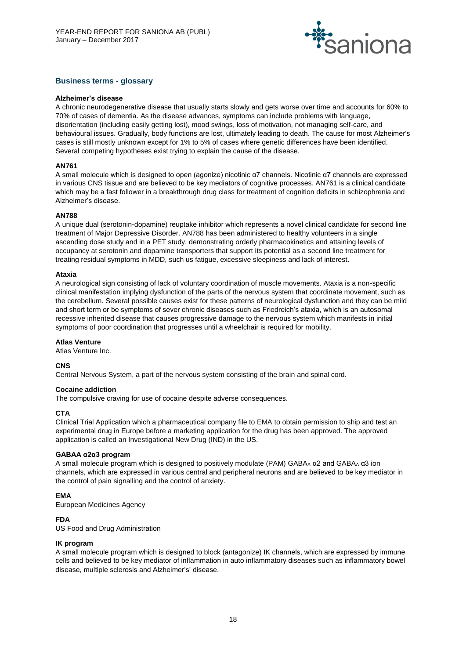

# **Business terms - glossary**

#### **Alzheimer's disease**

A chronic neurodegenerative disease that usually starts slowly and gets worse over time and accounts for 60% to 70% of cases of dementia. As the disease advances, symptoms can include problems with language, disorientation (including easily getting lost), mood swings, loss of motivation, not managing self-care, and behavioural issues. Gradually, body functions are lost, ultimately leading to death. The cause for most Alzheimer's cases is still mostly unknown except for 1% to 5% of cases where genetic differences have been identified. Several competing hypotheses exist trying to explain the cause of the disease.

# **AN761**

A small molecule which is designed to open (agonize) nicotinic α7 channels. Nicotinic α7 channels are expressed in various CNS tissue and are believed to be key mediators of cognitive processes. AN761 is a clinical candidate which may be a fast follower in a breakthrough drug class for treatment of cognition deficits in schizophrenia and Alzheimer's disease.

#### **AN788**

A unique dual (serotonin-dopamine) reuptake inhibitor which represents a novel clinical candidate for second line treatment of Major Depressive Disorder. AN788 has been administered to healthy volunteers in a single ascending dose study and in a PET study, demonstrating orderly pharmacokinetics and attaining levels of occupancy at serotonin and dopamine transporters that support its potential as a second line treatment for treating residual symptoms in MDD, such us fatigue, excessive sleepiness and lack of interest.

#### **Ataxia**

A neurological sign consisting of lack of voluntary coordination of muscle movements. Ataxia is a non-specific clinical manifestation implying dysfunction of the parts of the nervous system that coordinate movement, such as the cerebellum. Several possible causes exist for these patterns of neurological dysfunction and they can be mild and short term or be symptoms of sever chronic diseases such as Friedreich's ataxia, which is an autosomal recessive inherited disease that causes progressive damage to the nervous system which manifests in initial symptoms of poor coordination that progresses until a wheelchair is required for mobility.

#### **Atlas Venture**

Atlas Venture Inc.

# **CNS**

Central Nervous System, a part of the nervous system consisting of the brain and spinal cord.

#### **Cocaine addiction**

The compulsive craving for use of cocaine despite adverse consequences.

# **CTA**

Clinical Trial Application which a pharmaceutical company file to EMA to obtain permission to ship and test an experimental drug in Europe before a marketing application for the drug has been approved. The approved application is called an Investigational New Drug (IND) in the US.

# **GABAA α2α3 program**

A small molecule program which is designed to positively modulate (PAM) GABA<sub>A</sub>  $\alpha$ 2 and GABA<sub>A</sub>  $\alpha$ 3 ion channels, which are expressed in various central and peripheral neurons and are believed to be key mediator in the control of pain signalling and the control of anxiety.

# **EMA**

European Medicines Agency

# **FDA**

US Food and Drug Administration

# **IK program**

A small molecule program which is designed to block (antagonize) IK channels, which are expressed by immune cells and believed to be key mediator of inflammation in auto inflammatory diseases such as inflammatory bowel disease, multiple sclerosis and Alzheimer's' disease.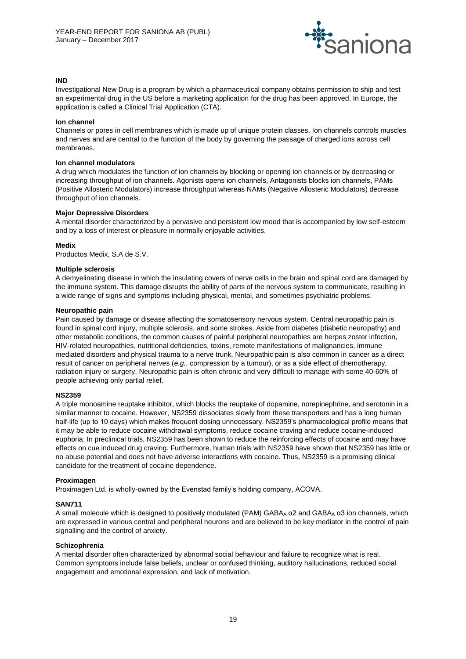

# **IND**

Investigational New Drug is a program by which a pharmaceutical company obtains permission to ship and test an experimental drug in the US before a marketing application for the drug has been approved. In Europe, the application is called a Clinical Trial Application (CTA).

#### **Ion channel**

Channels or pores in cell membranes which is made up of unique protein classes. Ion channels controls muscles and nerves and are central to the function of the body by governing the passage of charged ions across cell membranes.

#### **Ion channel modulators**

A drug which modulates the function of ion channels by blocking or opening ion channels or by decreasing or increasing throughput of ion channels. Agonists opens ion channels, Antagonists blocks ion channels, PAMs (Positive Allosteric Modulators) increase throughput whereas NAMs (Negative Allosteric Modulators) decrease throughput of ion channels.

#### **Major Depressive Disorders**

A mental disorder characterized by a pervasive and persistent low mood that is accompanied by low self-esteem and by a loss of interest or pleasure in normally enjoyable activities.

#### **Medix**

Productos Medix, S.A de S.V.

#### **Multiple sclerosis**

A demyelinating disease in which the insulating covers of nerve cells in the brain and spinal cord are damaged by the immune system. This damage disrupts the ability of parts of the nervous system to communicate, resulting in a wide range of signs and symptoms including physical, mental, and sometimes psychiatric problems.

#### **Neuropathic pain**

Pain caused by damage or disease affecting the somatosensory nervous system. Central neuropathic pain is found in spinal cord injury, multiple sclerosis, and some strokes. Aside from diabetes (diabetic neuropathy) and other metabolic conditions, the common causes of painful peripheral neuropathies are herpes zoster infection, HIV-related neuropathies, nutritional deficiencies, toxins, remote manifestations of malignancies, immune mediated disorders and physical trauma to a nerve trunk. Neuropathic pain is also common in cancer as a direct result of cancer on peripheral nerves (*e.g.*, compression by a tumour), or as a side effect of chemotherapy, radiation injury or surgery. Neuropathic pain is often chronic and very difficult to manage with some 40-60% of people achieving only partial relief.

#### **NS2359**

A triple monoamine reuptake inhibitor, which blocks the reuptake of dopamine, norepinephrine, and serotonin in a similar manner to cocaine. However, NS2359 dissociates slowly from these transporters and has a long human half-life (up to 10 days) which makes frequent dosing unnecessary. NS2359's pharmacological profile means that it may be able to reduce cocaine withdrawal symptoms, reduce cocaine craving and reduce cocaine-induced euphoria. In preclinical trials, NS2359 has been shown to reduce the reinforcing effects of cocaine and may have effects on cue induced drug craving. Furthermore, human trials with NS2359 have shown that NS2359 has little or no abuse potential and does not have adverse interactions with cocaine. Thus, NS2359 is a promising clinical candidate for the treatment of cocaine dependence.

#### **Proximagen**

Proximagen Ltd. is wholly-owned by the Evenstad family's holding company, ACOVA.

#### **SAN711**

A small molecule which is designed to positively modulated (PAM) GABA<sup>A</sup> α2 and GABA<sup>A</sup> α3 ion channels, which are expressed in various central and peripheral neurons and are believed to be key mediator in the control of pain signalling and the control of anxiety.

#### **Schizophrenia**

A mental disorder often characterized by abnormal social behaviour and failure to recognize what is real. Common symptoms include false beliefs, unclear or confused thinking, auditory hallucinations, reduced social engagement and emotional expression, and lack of motivation.